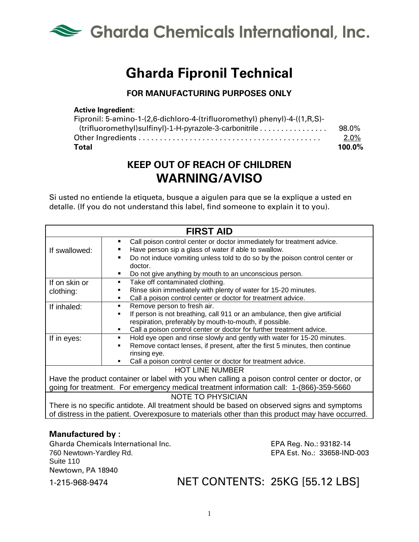

# **Gharda Fipronil Technical**

### **FOR MANUFACTURING PURPOSES ONLY**

#### **Active Ingredient**:

| Fipronil: 5-amino-1-(2,6-dichloro-4-(trifluoromethyl) phenyl)-4-((1,R,S)- |        |
|---------------------------------------------------------------------------|--------|
|                                                                           | 98.0%  |
|                                                                           | 2.0%   |
| Total                                                                     | 100.0% |

## **KEEP OUT OF REACH OF CHILDREN WARNING/AVISO**

Si usted no entiende la etiqueta, busque a aigulen para que se la explique a usted en detalle. (If you do not understand this label, find someone to explain it to you).

| <b>FIRST AID</b>                                                                                 |                                                                              |  |
|--------------------------------------------------------------------------------------------------|------------------------------------------------------------------------------|--|
|                                                                                                  | Call poison control center or doctor immediately for treatment advice.<br>٠  |  |
| If swallowed:                                                                                    | Have person sip a glass of water if able to swallow.                         |  |
|                                                                                                  | Do not induce vomiting unless told to do so by the poison control center or  |  |
|                                                                                                  | doctor.                                                                      |  |
|                                                                                                  | Do not give anything by mouth to an unconscious person.                      |  |
| If on skin or                                                                                    | Take off contaminated clothing.<br>$\blacksquare$                            |  |
| clothing:                                                                                        | Rinse skin immediately with plenty of water for 15-20 minutes.               |  |
|                                                                                                  | Call a poison control center or doctor for treatment advice.<br>٠            |  |
| If inhaled:                                                                                      | Remove person to fresh air.<br>٠                                             |  |
|                                                                                                  | If person is not breathing, call 911 or an ambulance, then give artificial   |  |
|                                                                                                  | respiration, preferably by mouth-to-mouth, if possible.                      |  |
|                                                                                                  | Call a poison control center or doctor for further treatment advice.         |  |
| If in eyes:                                                                                      | Hold eye open and rinse slowly and gently with water for 15-20 minutes.<br>٠ |  |
|                                                                                                  | Remove contact lenses, if present, after the first 5 minutes, then continue  |  |
|                                                                                                  | rinsing eye.                                                                 |  |
|                                                                                                  | Call a poison control center or doctor for treatment advice.                 |  |
| <b>HOT LINE NUMBER</b>                                                                           |                                                                              |  |
| Have the product container or label with you when calling a poison control center or doctor, or  |                                                                              |  |
| going for treatment. For emergency medical treatment information call: 1-(866)-359-5660          |                                                                              |  |
| <b>NOTE TO PHYSICIAN</b>                                                                         |                                                                              |  |
| There is no specific antidote. All treatment should be based on observed signs and symptoms      |                                                                              |  |
| of distress in the patient. Overexposure to materials other than this product may have occurred. |                                                                              |  |

#### **Manufactured by :**

Gharda Chemicals International Inc. EPA Reg. No.: 93182-14 760 Newtown-Yardley Rd. EPA Est. No.: 33658-IND-003 Suite 110 Newtown, PA 18940

1-215-968-9474 NET CONTENTS: 25KG [55.12 LBS]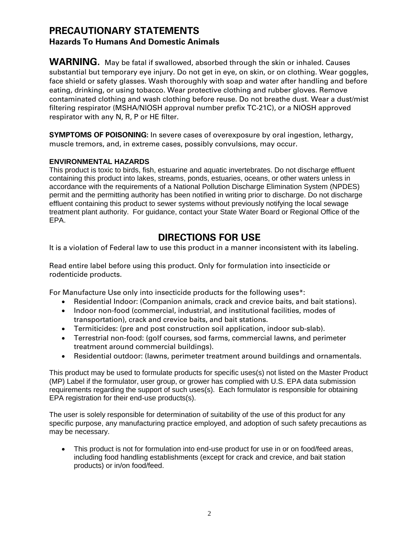## **PRECAUTIONARY STATEMENTS Hazards To Humans And Domestic Animals**

**WARNING.** May be fatal if swallowed, absorbed through the skin or inhaled. Causes substantial but temporary eye injury. Do not get in eye, on skin, or on clothing. Wear goggles, face shield or safety glasses. Wash thoroughly with soap and water after handling and before eating, drinking, or using tobacco. Wear protective clothing and rubber gloves. Remove contaminated clothing and wash clothing before reuse. Do not breathe dust. Wear a dust/mist filtering respirator (MSHA/NIOSH approval number prefix TC-21C), or a NIOSH approved respirator with any N, R, P or HE filter.

**SYMPTOMS OF POISONING:** In severe cases of overexposure by oral ingestion, lethargy, muscle tremors, and, in extreme cases, possibly convulsions, may occur.

#### **ENVIRONMENTAL HAZARDS**

This product is toxic to birds, fish, estuarine and aquatic invertebrates. Do not discharge effluent containing this product into lakes, streams, ponds, estuaries, oceans, or other waters unless in accordance with the requirements of a National Pollution Discharge Elimination System (NPDES) permit and the permitting authority has been notified in writing prior to discharge. Do not discharge effluent containing this product to sewer systems without previously notifying the local sewage treatment plant authority. For guidance, contact your State Water Board or Regional Office of the EPA.

## **DIRECTIONS FOR USE**

It is a violation of Federal law to use this product in a manner inconsistent with its labeling.

Read entire label before using this product. Only for formulation into insecticide or rodenticide products.

For Manufacture Use only into insecticide products for the following uses\*:

- Residential Indoor: (Companion animals, crack and crevice baits, and bait stations).
- Indoor non-food (commercial, industrial, and institutional facilities, modes of transportation), crack and crevice baits, and bait stations.
- Termiticides: (pre and post construction soil application, indoor sub-slab).
- Terrestrial non-food: (golf courses, sod farms, commercial lawns, and perimeter treatment around commercial buildings).
- Residential outdoor: (lawns, perimeter treatment around buildings and ornamentals.

This product may be used to formulate products for specific uses(s) not listed on the Master Product (MP) Label if the formulator, user group, or grower has complied with U.S. EPA data submission requirements regarding the support of such uses(s). Each formulator is responsible for obtaining EPA registration for their end-use products(s).

The user is solely responsible for determination of suitability of the use of this product for any specific purpose, any manufacturing practice employed, and adoption of such safety precautions as may be necessary.

• This product is not for formulation into end-use product for use in or on food/feed areas, including food handling establishments (except for crack and crevice, and bait station products) or in/on food/feed.